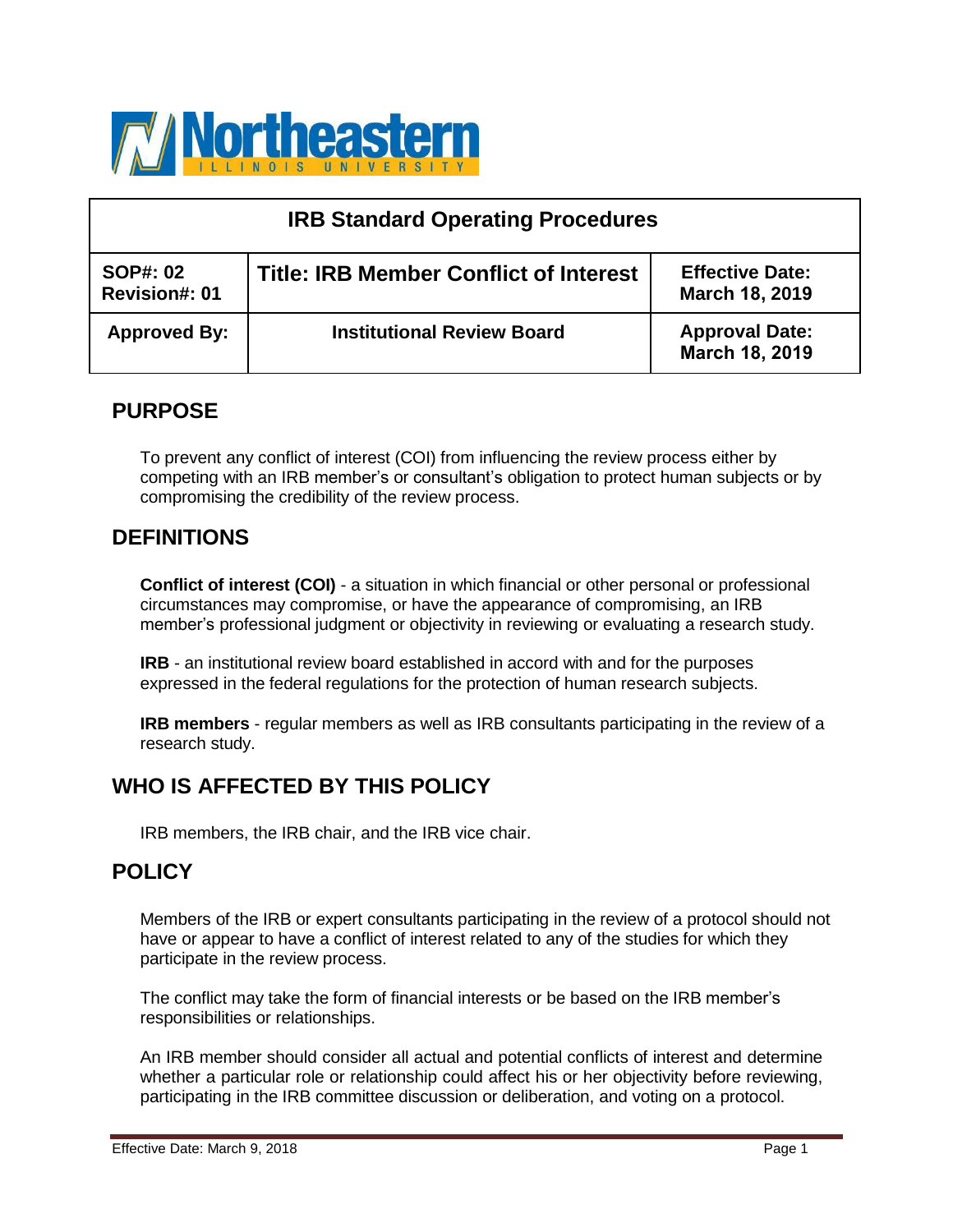

| <b>IRB Standard Operating Procedures</b> |                                               |                                          |  |
|------------------------------------------|-----------------------------------------------|------------------------------------------|--|
| <b>SOP#: 02</b><br><b>Revision#: 01</b>  | <b>Title: IRB Member Conflict of Interest</b> | <b>Effective Date:</b><br>March 18, 2019 |  |
| <b>Approved By:</b>                      | <b>Institutional Review Board</b>             | <b>Approval Date:</b><br>March 18, 2019  |  |

# **PURPOSE**

To prevent any conflict of interest (COI) from influencing the review process either by competing with an IRB member's or consultant's obligation to protect human subjects or by compromising the credibility of the review process.

# **DEFINITIONS**

**Conflict of interest (COI)** - a situation in which financial or other personal or professional circumstances may compromise, or have the appearance of compromising, an IRB member's professional judgment or objectivity in reviewing or evaluating a research study.

**IRB** - an institutional review board established in accord with and for the purposes expressed in the federal regulations for the protection of human research subjects.

**IRB members** - regular members as well as IRB consultants participating in the review of a research study.

# **WHO IS AFFECTED BY THIS POLICY**

IRB members, the IRB chair, and the IRB vice chair.

# **POLICY**

Members of the IRB or expert consultants participating in the review of a protocol should not have or appear to have a conflict of interest related to any of the studies for which they participate in the review process.

The conflict may take the form of financial interests or be based on the IRB member's responsibilities or relationships.

An IRB member should consider all actual and potential conflicts of interest and determine whether a particular role or relationship could affect his or her objectivity before reviewing, participating in the IRB committee discussion or deliberation, and voting on a protocol.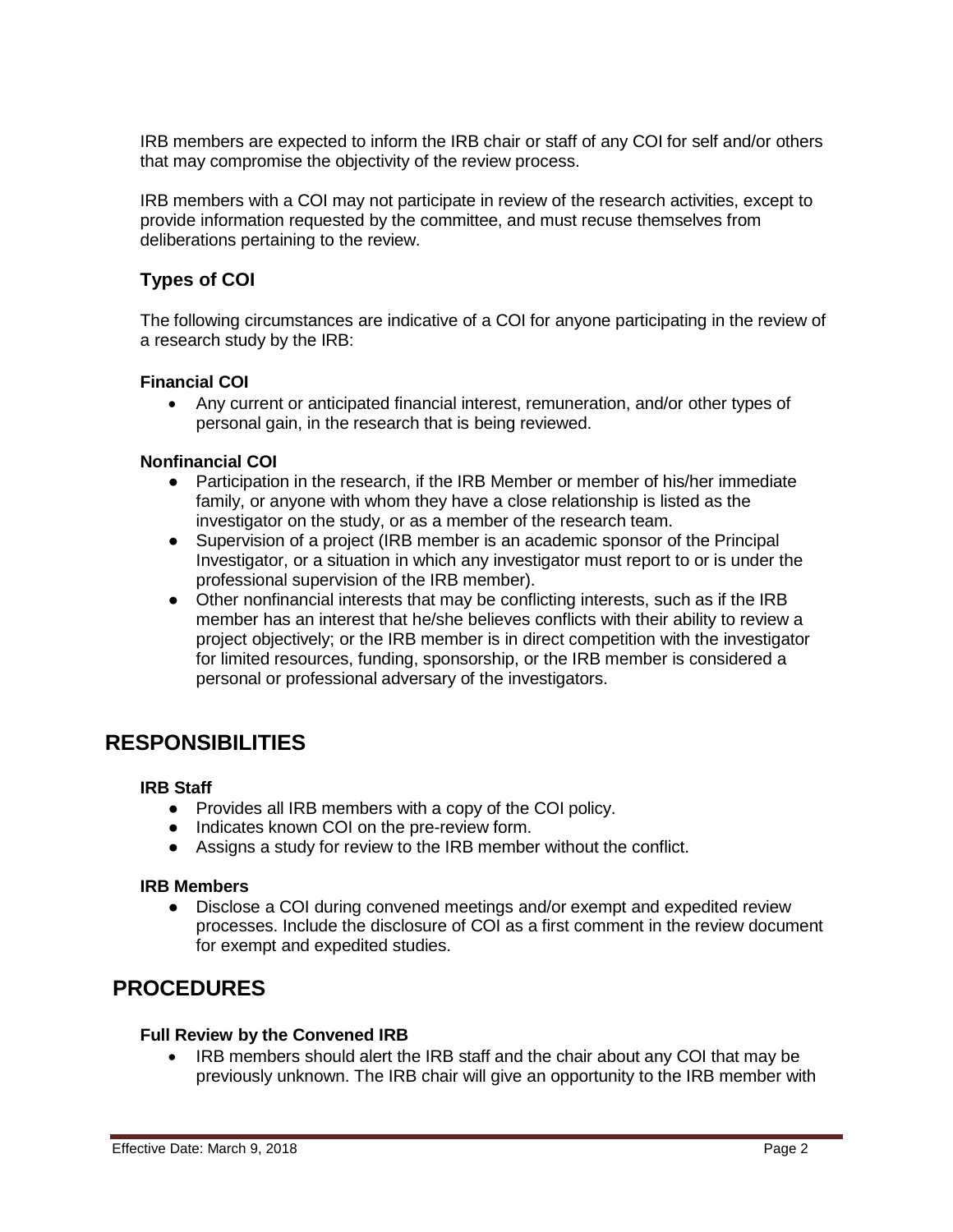IRB members are expected to inform the IRB chair or staff of any COI for self and/or others that may compromise the objectivity of the review process.

IRB members with a COI may not participate in review of the research activities, except to provide information requested by the committee, and must recuse themselves from deliberations pertaining to the review.

## **Types of COI**

The following circumstances are indicative of a COI for anyone participating in the review of a research study by the IRB:

### **Financial COI**

 Any current or anticipated financial interest, remuneration, and/or other types of personal gain, in the research that is being reviewed.

#### **Nonfinancial COI**

- Participation in the research, if the IRB Member or member of his/her immediate family, or anyone with whom they have a close relationship is listed as the investigator on the study, or as a member of the research team.
- Supervision of a project (IRB member is an academic sponsor of the Principal Investigator, or a situation in which any investigator must report to or is under the professional supervision of the IRB member).
- Other nonfinancial interests that may be conflicting interests, such as if the IRB member has an interest that he/she believes conflicts with their ability to review a project objectively; or the IRB member is in direct competition with the investigator for limited resources, funding, sponsorship, or the IRB member is considered a personal or professional adversary of the investigators.

# **RESPONSIBILITIES**

#### **IRB Staff**

- Provides all IRB members with a copy of the COI policy.
- Indicates known COI on the pre-review form.
- Assigns a study for review to the IRB member without the conflict.

#### **IRB Members**

● Disclose a COI during convened meetings and/or exempt and expedited review processes. Include the disclosure of COI as a first comment in the review document for exempt and expedited studies.

# **PROCEDURES**

#### **Full Review by the Convened IRB**

• IRB members should alert the IRB staff and the chair about any COI that may be previously unknown. The IRB chair will give an opportunity to the IRB member with